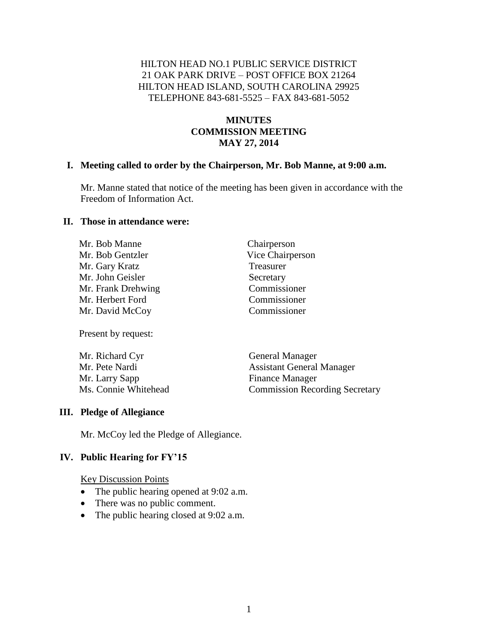### HILTON HEAD NO.1 PUBLIC SERVICE DISTRICT 21 OAK PARK DRIVE – POST OFFICE BOX 21264 HILTON HEAD ISLAND, SOUTH CAROLINA 29925 TELEPHONE 843-681-5525 – FAX 843-681-5052

### **MINUTES COMMISSION MEETING MAY 27, 2014**

#### **I. Meeting called to order by the Chairperson, Mr. Bob Manne, at 9:00 a.m.**

Mr. Manne stated that notice of the meeting has been given in accordance with the Freedom of Information Act.

> Chairperson Vice Chairperson

**Treasurer** Secretary Commissioner Commissioner Commissioner

#### **II. Those in attendance were:**

| Mr. Bob Manne      |
|--------------------|
| Mr. Bob Gentzler   |
| Mr. Gary Kratz     |
| Mr. John Geisler   |
| Mr. Frank Drehwing |
| Mr. Herbert Ford   |
| Mr. David McCoy    |

Present by request:

| Mr. Richard Cyr      | <b>General Manager</b>                |
|----------------------|---------------------------------------|
| Mr. Pete Nardi       | <b>Assistant General Manager</b>      |
| Mr. Larry Sapp       | <b>Finance Manager</b>                |
| Ms. Connie Whitehead | <b>Commission Recording Secretary</b> |

#### **III. Pledge of Allegiance**

Mr. McCoy led the Pledge of Allegiance.

#### **IV. Public Hearing for FY'15**

Key Discussion Points

- The public hearing opened at 9:02 a.m.
- There was no public comment.
- The public hearing closed at 9:02 a.m.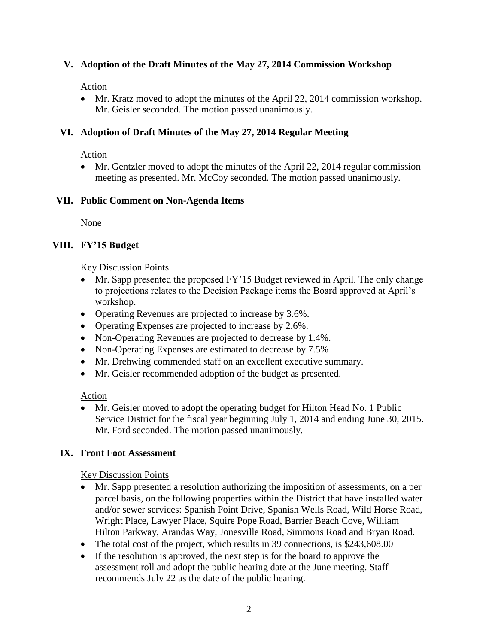### **V. Adoption of the Draft Minutes of the May 27, 2014 Commission Workshop**

### Action

• Mr. Kratz moved to adopt the minutes of the April 22, 2014 commission workshop. Mr. Geisler seconded. The motion passed unanimously.

## **VI. Adoption of Draft Minutes of the May 27, 2014 Regular Meeting**

### Action

 Mr. Gentzler moved to adopt the minutes of the April 22, 2014 regular commission meeting as presented. Mr. McCoy seconded. The motion passed unanimously.

### **VII. Public Comment on Non-Agenda Items**

None

### **VIII. FY'15 Budget**

### Key Discussion Points

- Mr. Sapp presented the proposed FY'15 Budget reviewed in April. The only change to projections relates to the Decision Package items the Board approved at April's workshop.
- Operating Revenues are projected to increase by 3.6%.
- Operating Expenses are projected to increase by 2.6%.
- Non-Operating Revenues are projected to decrease by 1.4%.
- Non-Operating Expenses are estimated to decrease by 7.5%
- Mr. Drehwing commended staff on an excellent executive summary.
- Mr. Geisler recommended adoption of the budget as presented.

## Action

 Mr. Geisler moved to adopt the operating budget for Hilton Head No. 1 Public Service District for the fiscal year beginning July 1, 2014 and ending June 30, 2015. Mr. Ford seconded. The motion passed unanimously.

## **IX. Front Foot Assessment**

## Key Discussion Points

- Mr. Sapp presented a resolution authorizing the imposition of assessments, on a per parcel basis, on the following properties within the District that have installed water and/or sewer services: Spanish Point Drive, Spanish Wells Road, Wild Horse Road, Wright Place, Lawyer Place, Squire Pope Road, Barrier Beach Cove, William Hilton Parkway, Arandas Way, Jonesville Road, Simmons Road and Bryan Road.
- The total cost of the project, which results in 39 connections, is \$243,608.00
- If the resolution is approved, the next step is for the board to approve the assessment roll and adopt the public hearing date at the June meeting. Staff recommends July 22 as the date of the public hearing.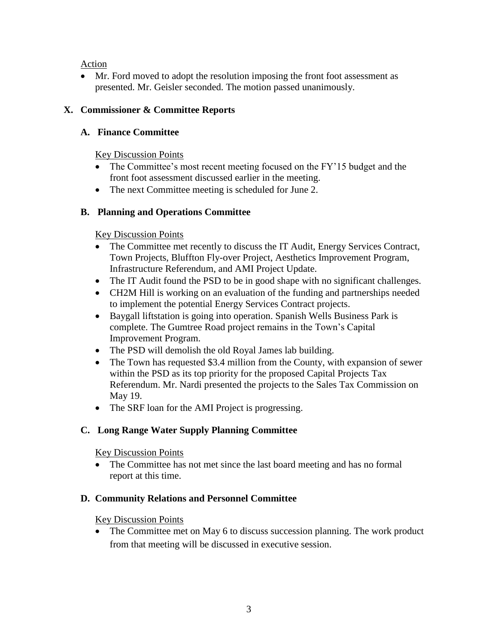Action

 Mr. Ford moved to adopt the resolution imposing the front foot assessment as presented. Mr. Geisler seconded. The motion passed unanimously.

# **X. Commissioner & Committee Reports**

# **A. Finance Committee**

## Key Discussion Points

- The Committee's most recent meeting focused on the FY'15 budget and the front foot assessment discussed earlier in the meeting.
- The next Committee meeting is scheduled for June 2.

# **B. Planning and Operations Committee**

# Key Discussion Points

- The Committee met recently to discuss the IT Audit, Energy Services Contract, Town Projects, Bluffton Fly-over Project, Aesthetics Improvement Program, Infrastructure Referendum, and AMI Project Update.
- The IT Audit found the PSD to be in good shape with no significant challenges.
- CH2M Hill is working on an evaluation of the funding and partnerships needed to implement the potential Energy Services Contract projects.
- Baygall liftstation is going into operation. Spanish Wells Business Park is complete. The Gumtree Road project remains in the Town's Capital Improvement Program.
- The PSD will demolish the old Royal James lab building.
- The Town has requested \$3.4 million from the County, with expansion of sewer within the PSD as its top priority for the proposed Capital Projects Tax Referendum. Mr. Nardi presented the projects to the Sales Tax Commission on May 19.
- The SRF loan for the AMI Project is progressing.

# **C. Long Range Water Supply Planning Committee**

## Key Discussion Points

• The Committee has not met since the last board meeting and has no formal report at this time.

# **D. Community Relations and Personnel Committee**

## Key Discussion Points

• The Committee met on May 6 to discuss succession planning. The work product from that meeting will be discussed in executive session.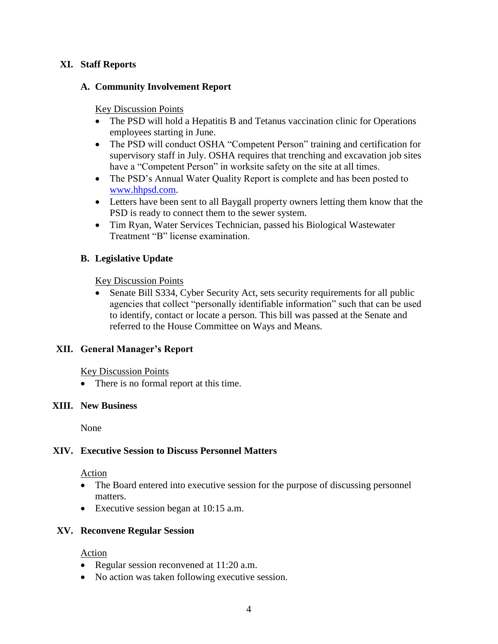### **XI. Staff Reports**

### **A. Community Involvement Report**

### Key Discussion Points

- The PSD will hold a Hepatitis B and Tetanus vaccination clinic for Operations employees starting in June.
- The PSD will conduct OSHA "Competent Person" training and certification for supervisory staff in July. OSHA requires that trenching and excavation job sites have a "Competent Person" in worksite safety on the site at all times.
- The PSD's Annual Water Quality Report is complete and has been posted to [www.hhpsd.com.](http://www.hhpsd.com/)
- Letters have been sent to all Baygall property owners letting them know that the PSD is ready to connect them to the sewer system.
- Tim Ryan, Water Services Technician, passed his Biological Wastewater Treatment "B" license examination.

### **B. Legislative Update**

Key Discussion Points

 Senate Bill S334, Cyber Security Act, sets security requirements for all public agencies that collect "personally identifiable information" such that can be used to identify, contact or locate a person. This bill was passed at the Senate and referred to the House Committee on Ways and Means.

### **XII. General Manager's Report**

Key Discussion Points

• There is no formal report at this time.

#### **XIII. New Business**

None

### **XIV. Executive Session to Discuss Personnel Matters**

#### Action

- The Board entered into executive session for the purpose of discussing personnel matters.
- Executive session began at 10:15 a.m.

### **XV. Reconvene Regular Session**

#### Action

- Regular session reconvened at 11:20 a.m.
- No action was taken following executive session.